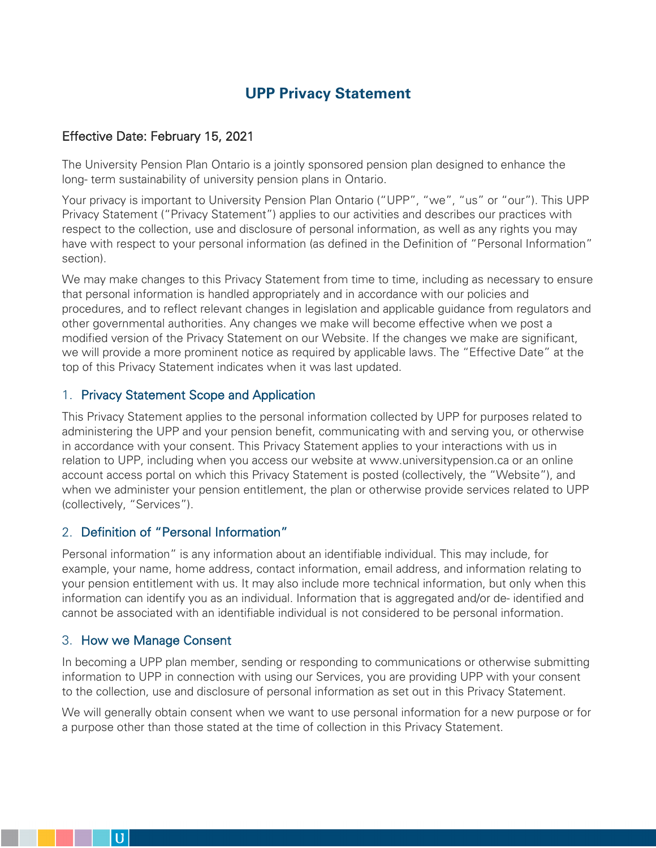# **UPP Privacy Statement**

# Effective Date: February 15, 2021

The University Pension Plan Ontario is a jointly sponsored pension plan designed to enhance the long- term sustainability of university pension plans in Ontario.

Your privacy is important to University Pension Plan Ontario ("UPP", "we", "us" or "our"). This UPP Privacy Statement ("Privacy Statement") applies to our activities and describes our practices with respect to the collection, use and disclosure of personal information, as well as any rights you may have with respect to your personal information (as defined in the Definition of "Personal Information" section).

We may make changes to this Privacy Statement from time to time, including as necessary to ensure that personal information is handled appropriately and in accordance with our policies and procedures, and to reflect relevant changes in legislation and applicable guidance from regulators and other governmental authorities. Any changes we make will become effective when we post a modified version of the Privacy Statement on our Website. If the changes we make are significant, we will provide a more prominent notice as required by applicable laws. The "Effective Date" at the top of this Privacy Statement indicates when it was last updated.

# 1. Privacy Statement Scope and Application

This Privacy Statement applies to the personal information collected by UPP for purposes related to administering the UPP and your pension benefit, communicating with and serving you, or otherwise in accordance with your consent. This Privacy Statement applies to your interactions with us in relation to UPP, including when you access our website at www.universitypension.ca or an online account access portal on which this Privacy Statement is posted (collectively, the "Website"), and when we administer your pension entitlement, the plan or otherwise provide services related to UPP (collectively, "Services").

# 2. Definition of "Personal Information"

Personal information" is any information about an identifiable individual. This may include, for example, your name, home address, contact information, email address, and information relating to your pension entitlement with us. It may also include more technical information, but only when this information can identify you as an individual. Information that is aggregated and/or de- identified and cannot be associated with an identifiable individual is not considered to be personal information.

# 3. How we Manage Consent

In becoming a UPP plan member, sending or responding to communications or otherwise submitting information to UPP in connection with using our Services, you are providing UPP with your consent to the collection, use and disclosure of personal information as set out in this Privacy Statement.

We will generally obtain consent when we want to use personal information for a new purpose or for a purpose other than those stated at the time of collection in this Privacy Statement.

 $\mathbf{U}$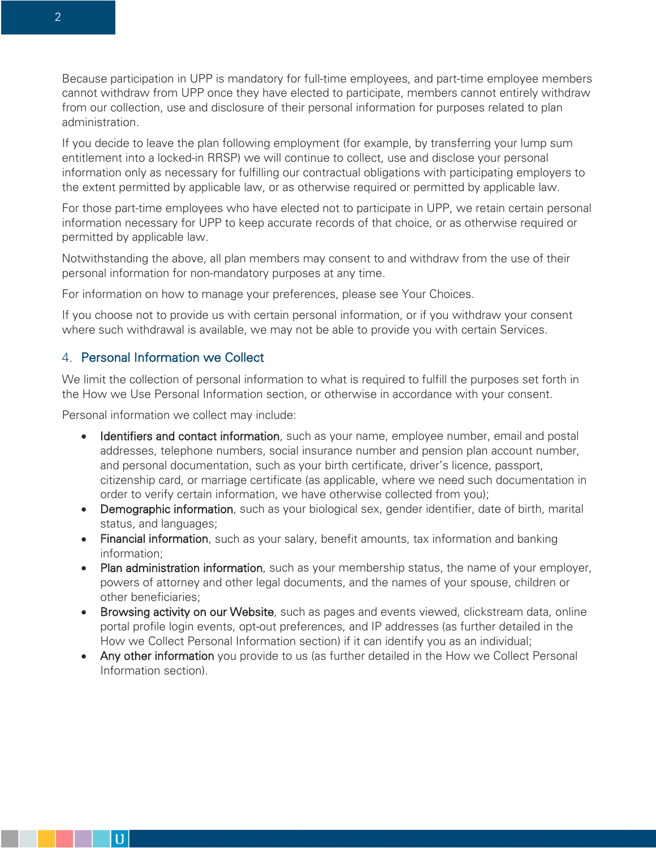Because participation in UPP is mandatory for full-time employees, and part-time employee members cannot withdraw from UPP once they have elected to participate, members cannot entirely withdraw from our collection, use and disclosure of their personal information for purposes related to plan administration.

If you decide to leave the plan following employment (for example, by transferring your lump sum entitlement into a locked-in RRSP) we will continue to collect, use and disclose your personal information only as necessary for fulfilling our contractual obligations with participating employers to the extent permitted by applicable law, or as otherwise required or permitted by applicable law.

For those part-time employees who have elected not to participate in UPP, we retain certain personal information necessary for UPP to keep accurate records of that choice, or as otherwise required or permitted by applicable law.

Notwithstanding the above, all plan members may consent to and withdraw from the use of their personal information for non-mandatory purposes at any time.

For information on how to manage your preferences, please see Your Choices.

If you choose not to provide us with certain personal information, or if you withdraw your consent where such withdrawal is available, we may not be able to provide you with certain Services.

#### 4. Personal Information we Collect

We limit the collection of personal information to what is required to fulfill the purposes set forth in the How we Use Personal Information section, or otherwise in accordance with your consent.

Personal information we collect may include:

- Identifiers and contact information, such as your name, employee number, email and postal addresses, telephone numbers, social insurance number and pension plan account number, and personal documentation, such as your birth certificate, driver's licence, passport, citizenship card, or marriage certificate (as applicable, where we need such documentation in order to verify certain information, we have otherwise collected from you);
- Demographic information, such as your biological sex, gender identifier, date of birth, marital status, and languages;
- Financial information, such as your salary, benefit amounts, tax information and banking information;
- Plan administration information, such as your membership status, the name of your employer, powers of attorney and other legal documents, and the names of your spouse, children or other beneficiaries;
- Browsing activity on our Website, such as pages and events viewed, clickstream data, online portal profile login events, opt-out preferences, and IP addresses (as further detailed in the How we Collect Personal Information section) if it can identify you as an individual;
- Any other information you provide to us (as further detailed in the How we Collect Personal Information section).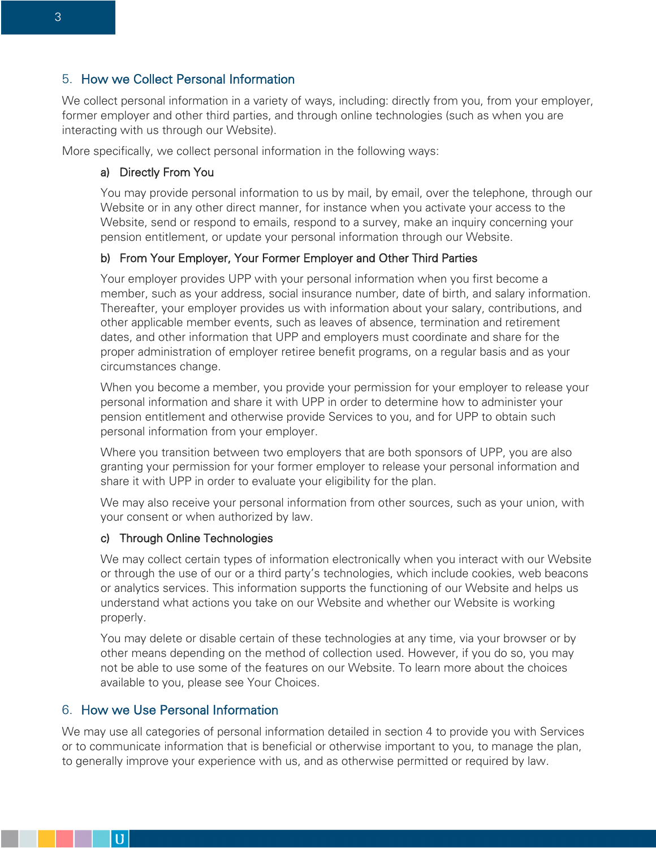# 5. How we Collect Personal Information

We collect personal information in a variety of ways, including: directly from you, from your employer, former employer and other third parties, and through online technologies (such as when you are interacting with us through our Website).

More specifically, we collect personal information in the following ways:

#### a) Directly From You

You may provide personal information to us by mail, by email, over the telephone, through our Website or in any other direct manner, for instance when you activate your access to the Website, send or respond to emails, respond to a survey, make an inquiry concerning your pension entitlement, or update your personal information through our Website.

#### b) From Your Employer, Your Former Employer and Other Third Parties

Your employer provides UPP with your personal information when you first become a member, such as your address, social insurance number, date of birth, and salary information. Thereafter, your employer provides us with information about your salary, contributions, and other applicable member events, such as leaves of absence, termination and retirement dates, and other information that UPP and employers must coordinate and share for the proper administration of employer retiree benefit programs, on a regular basis and as your circumstances change.

When you become a member, you provide your permission for your employer to release your personal information and share it with UPP in order to determine how to administer your pension entitlement and otherwise provide Services to you, and for UPP to obtain such personal information from your employer.

Where you transition between two employers that are both sponsors of UPP, you are also granting your permission for your former employer to release your personal information and share it with UPP in order to evaluate your eligibility for the plan.

We may also receive your personal information from other sources, such as your union, with your consent or when authorized by law.

#### c) Through Online Technologies

We may collect certain types of information electronically when you interact with our Website or through the use of our or a third party's technologies, which include cookies, web beacons or analytics services. This information supports the functioning of our Website and helps us understand what actions you take on our Website and whether our Website is working properly.

You may delete or disable certain of these technologies at any time, via your browser or by other means depending on the method of collection used. However, if you do so, you may not be able to use some of the features on our Website. To learn more about the choices available to you, please see Your Choices.

# 6. How we Use Personal Information

 $\bf{U}$ 

We may use all categories of personal information detailed in section 4 to provide you with Services or to communicate information that is beneficial or otherwise important to you, to manage the plan, to generally improve your experience with us, and as otherwise permitted or required by law.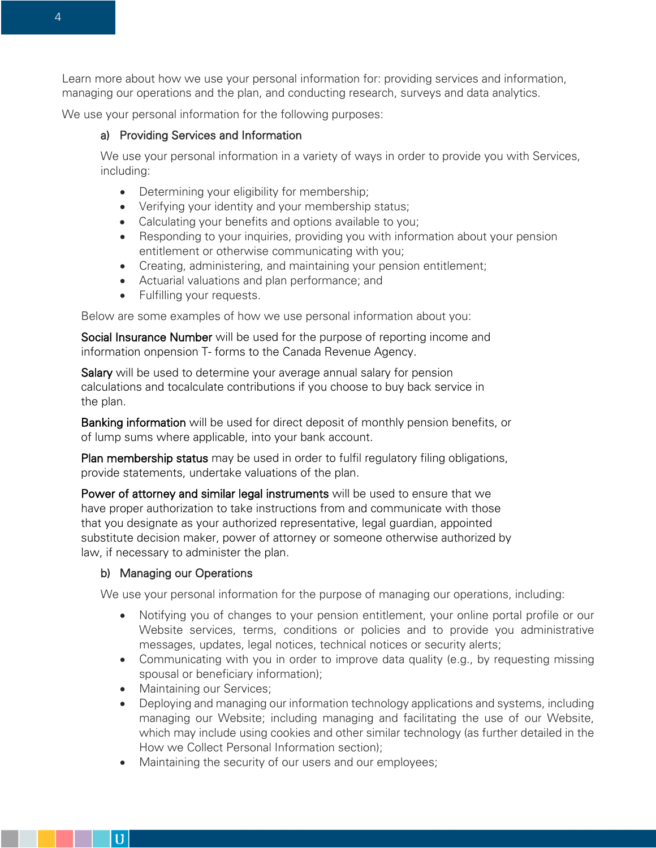Learn more about how we use your personal information for: providing services and information, managing our operations and the plan, and conducting research, surveys and data analytics.

We use your personal information for the following purposes:

#### a) Providing Services and Information

We use your personal information in a variety of ways in order to provide you with Services, including:

- Determining your eligibility for membership;
- Verifying your identity and your membership status;
- Calculating your benefits and options available to you;
- Responding to your inquiries, providing you with information about your pension entitlement or otherwise communicating with you;
- Creating, administering, and maintaining your pension entitlement;
- Actuarial valuations and plan performance; and
- Fulfilling your requests.

Below are some examples of how we use personal information about you:

Social Insurance Number will be used for the purpose of reporting income and information onpension T- forms to the Canada Revenue Agency.

Salary will be used to determine your average annual salary for pension calculations and tocalculate contributions if you choose to buy back service in the plan.

Banking information will be used for direct deposit of monthly pension benefits, or of lump sums where applicable, into your bank account.

Plan membership status may be used in order to fulfil regulatory filing obligations, provide statements, undertake valuations of the plan.

Power of attorney and similar legal instruments will be used to ensure that we have proper authorization to take instructions from and communicate with those that you designate as your authorized representative, legal guardian, appointed substitute decision maker, power of attorney or someone otherwise authorized by law, if necessary to administer the plan.

#### b) Managing our Operations

We use your personal information for the purpose of managing our operations, including:

- Notifying you of changes to your pension entitlement, your online portal profile or our Website services, terms, conditions or policies and to provide you administrative messages, updates, legal notices, technical notices or security alerts;
- Communicating with you in order to improve data quality (e.g., by requesting missing spousal or beneficiary information);
- Maintaining our Services;

 $\mathbf{U}$ 

- Deploying and managing our information technology applications and systems, including managing our Website; including managing and facilitating the use of our Website, which may include using cookies and other similar technology (as further detailed in the How we Collect Personal Information section);
- Maintaining the security of our users and our employees;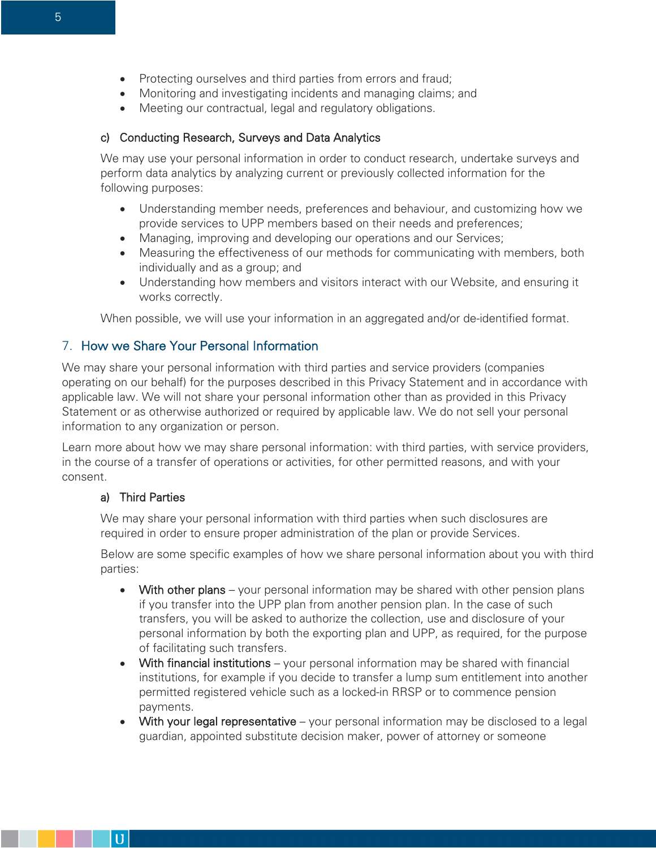- Protecting ourselves and third parties from errors and fraud;
- Monitoring and investigating incidents and managing claims; and
- Meeting our contractual, legal and regulatory obligations.

### c) Conducting Research, Surveys and Data Analytics

We may use your personal information in order to conduct research, undertake surveys and perform data analytics by analyzing current or previously collected information for the following purposes:

- Understanding member needs, preferences and behaviour, and customizing how we provide services to UPP members based on their needs and preferences;
- Managing, improving and developing our operations and our Services;
- Measuring the effectiveness of our methods for communicating with members, both individually and as a group; and
- Understanding how members and visitors interact with our Website, and ensuring it works correctly.

When possible, we will use your information in an aggregated and/or de-identified format.

# 7. How we Share Your Personal Information

We may share your personal information with third parties and service providers (companies operating on our behalf) for the purposes described in this Privacy Statement and in accordance with applicable law. We will not share your personal information other than as provided in this Privacy Statement or as otherwise authorized or required by applicable law. We do not sell your personal information to any organization or person.

Learn more about how we may share personal information: with third parties, with service providers, in the course of a transfer of operations or activities, for other permitted reasons, and with your consent.

### a) Third Parties

 $\bf{U}$ 

We may share your personal information with third parties when such disclosures are required in order to ensure proper administration of the plan or provide Services.

Below are some specific examples of how we share personal information about you with third parties:

- With other plans your personal information may be shared with other pension plans if you transfer into the UPP plan from another pension plan. In the case of such transfers, you will be asked to authorize the collection, use and disclosure of your personal information by both the exporting plan and UPP, as required, for the purpose of facilitating such transfers.
- With financial institutions your personal information may be shared with financial institutions, for example if you decide to transfer a lump sum entitlement into another permitted registered vehicle such as a locked-in RRSP or to commence pension payments.
- With your legal representative your personal information may be disclosed to a legal guardian, appointed substitute decision maker, power of attorney or someone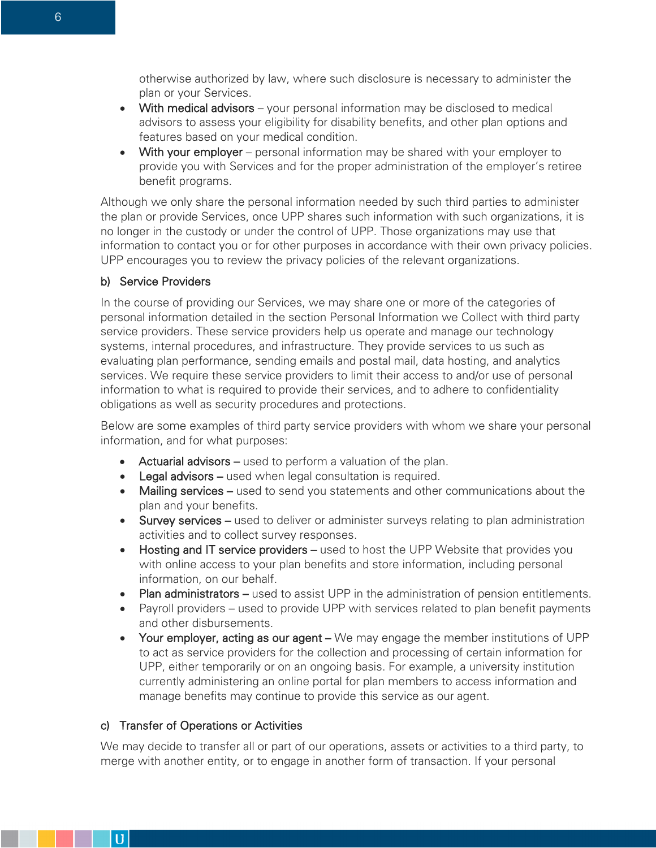otherwise authorized by law, where such disclosure is necessary to administer the plan or your Services.

- With medical advisors your personal information may be disclosed to medical advisors to assess your eligibility for disability benefits, and other plan options and features based on your medical condition.
- With your employer personal information may be shared with your employer to provide you with Services and for the proper administration of the employer's retiree benefit programs.

Although we only share the personal information needed by such third parties to administer the plan or provide Services, once UPP shares such information with such organizations, it is no longer in the custody or under the control of UPP. Those organizations may use that information to contact you or for other purposes in accordance with their own privacy policies. UPP encourages you to review the privacy policies of the relevant organizations.

#### b) Service Providers

In the course of providing our Services, we may share one or more of the categories of personal information detailed in the section Personal Information we Collect with third party service providers. These service providers help us operate and manage our technology systems, internal procedures, and infrastructure. They provide services to us such as evaluating plan performance, sending emails and postal mail, data hosting, and analytics services. We require these service providers to limit their access to and/or use of personal information to what is required to provide their services, and to adhere to confidentiality obligations as well as security procedures and protections.

Below are some examples of third party service providers with whom we share your personal information, and for what purposes:

- Actuarial advisors used to perform a valuation of the plan.
- Legal advisors used when legal consultation is required.
- Mailing services used to send you statements and other communications about the plan and your benefits.
- Survey services used to deliver or administer surveys relating to plan administration activities and to collect survey responses.
- Hosting and IT service providers used to host the UPP Website that provides you with online access to your plan benefits and store information, including personal information, on our behalf.
- Plan administrators used to assist UPP in the administration of pension entitlements.
- Payroll providers used to provide UPP with services related to plan benefit payments and other disbursements.
- Your employer, acting as our agent We may engage the member institutions of UPP to act as service providers for the collection and processing of certain information for UPP, either temporarily or on an ongoing basis. For example, a university institution currently administering an online portal for plan members to access information and manage benefits may continue to provide this service as our agent.

#### c) Transfer of Operations or Activities

 $\mathbf{U}$ 

We may decide to transfer all or part of our operations, assets or activities to a third party, to merge with another entity, or to engage in another form of transaction. If your personal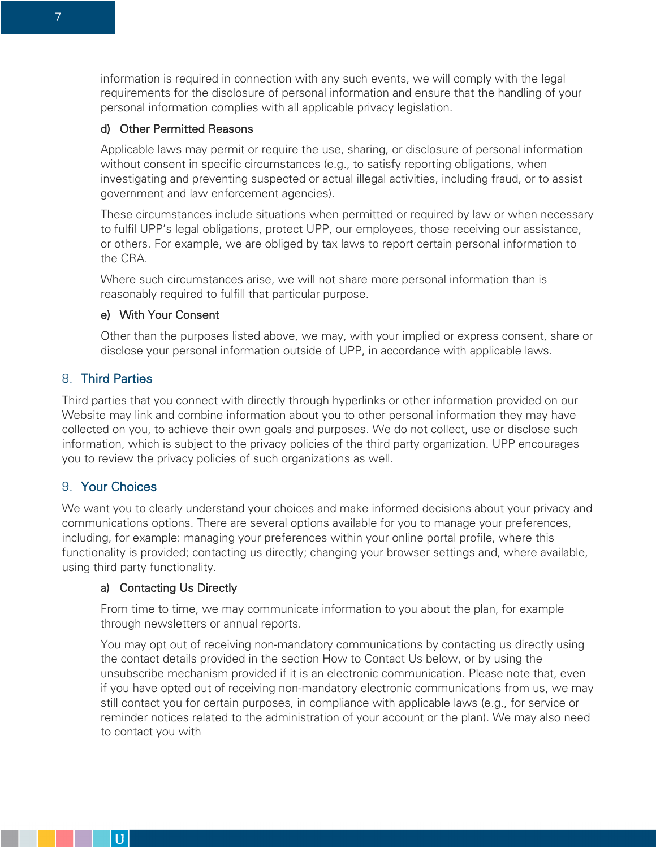information is required in connection with any such events, we will comply with the legal requirements for the disclosure of personal information and ensure that the handling of your personal information complies with all applicable privacy legislation.

### d) Other Permitted Reasons

Applicable laws may permit or require the use, sharing, or disclosure of personal information without consent in specific circumstances (e.g., to satisfy reporting obligations, when investigating and preventing suspected or actual illegal activities, including fraud, or to assist government and law enforcement agencies).

These circumstances include situations when permitted or required by law or when necessary to fulfil UPP's legal obligations, protect UPP, our employees, those receiving our assistance, or others. For example, we are obliged by tax laws to report certain personal information to the CRA.

Where such circumstances arise, we will not share more personal information than is reasonably required to fulfill that particular purpose.

#### e) With Your Consent

Other than the purposes listed above, we may, with your implied or express consent, share or disclose your personal information outside of UPP, in accordance with applicable laws.

# 8. Third Parties

Third parties that you connect with directly through hyperlinks or other information provided on our Website may link and combine information about you to other personal information they may have collected on you, to achieve their own goals and purposes. We do not collect, use or disclose such information, which is subject to the privacy policies of the third party organization. UPP encourages you to review the privacy policies of such organizations as well.

# 9. Your Choices

We want you to clearly understand your choices and make informed decisions about your privacy and communications options. There are several options available for you to manage your preferences, including, for example: managing your preferences within your online portal profile, where this functionality is provided; contacting us directly; changing your browser settings and, where available, using third party functionality.

#### a) Contacting Us Directly

From time to time, we may communicate information to you about the plan, for example through newsletters or annual reports.

You may opt out of receiving non-mandatory communications by contacting us directly using the contact details provided in the section How to Contact Us below, or by using the unsubscribe mechanism provided if it is an electronic communication. Please note that, even if you have opted out of receiving non-mandatory electronic communications from us, we may still contact you for certain purposes, in compliance with applicable laws (e.g., for service or reminder notices related to the administration of your account or the plan). We may also need to contact you with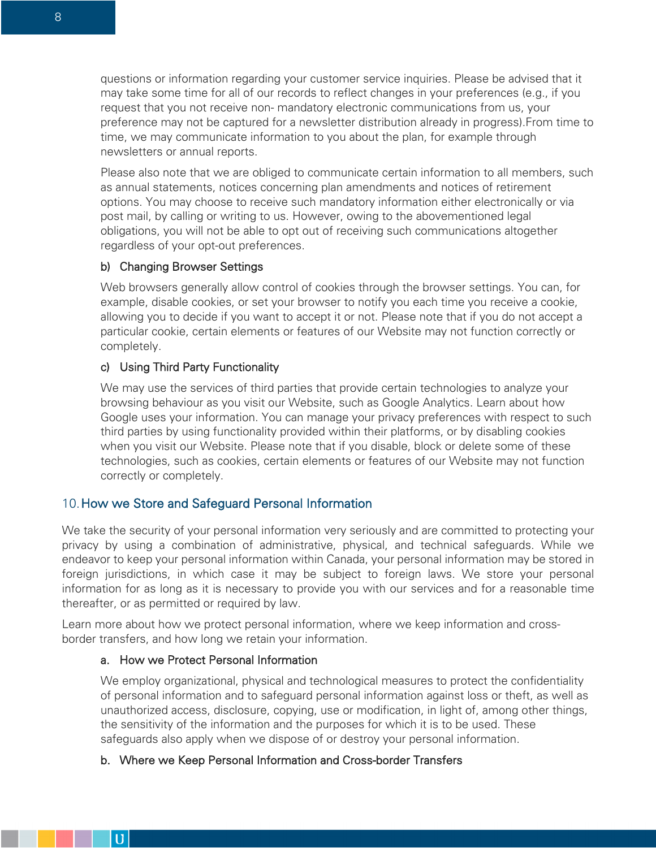questions or information regarding your customer service inquiries. Please be advised that it may take some time for all of our records to reflect changes in your preferences (e.g., if you request that you not receive non- mandatory electronic communications from us, your preference may not be captured for a newsletter distribution already in progress).From time to time, we may communicate information to you about the plan, for example through newsletters or annual reports.

Please also note that we are obliged to communicate certain information to all members, such as annual statements, notices concerning plan amendments and notices of retirement options. You may choose to receive such mandatory information either electronically or via post mail, by calling or writing to us. However, owing to the abovementioned legal obligations, you will not be able to opt out of receiving such communications altogether regardless of your opt-out preferences.

#### b) Changing Browser Settings

Web browsers generally allow control of cookies through the browser settings. You can, for example, disable cookies, or set your browser to notify you each time you receive a cookie, allowing you to decide if you want to accept it or not. Please note that if you do not accept a particular cookie, certain elements or features of our Website may not function correctly or completely.

### c) Using Third Party Functionality

We may use the services of third parties that provide certain technologies to analyze your browsing behaviour as you visit our Website, such as Google Analytics. Learn about how Google uses your information. You can manage your privacy preferences with respect to such third parties by using functionality provided within their platforms, or by disabling cookies when you visit our Website. Please note that if you disable, block or delete some of these technologies, such as cookies, certain elements or features of our Website may not function correctly or completely.

# 10.How we Store and Safeguard Personal Information

We take the security of your personal information very seriously and are committed to protecting your privacy by using a combination of administrative, physical, and technical safeguards. While we endeavor to keep your personal information within Canada, your personal information may be stored in foreign jurisdictions, in which case it may be subject to foreign laws. We store your personal information for as long as it is necessary to provide you with our services and for a reasonable time thereafter, or as permitted or required by law.

Learn more about how we protect personal information, where we keep information and crossborder transfers, and how long we retain your information.

# a. How we Protect Personal Information

 $\mathbf{U}$ 

We employ organizational, physical and technological measures to protect the confidentiality of personal information and to safeguard personal information against loss or theft, as well as unauthorized access, disclosure, copying, use or modification, in light of, among other things, the sensitivity of the information and the purposes for which it is to be used. These safeguards also apply when we dispose of or destroy your personal information.

#### b. Where we Keep Personal Information and Cross-border Transfers